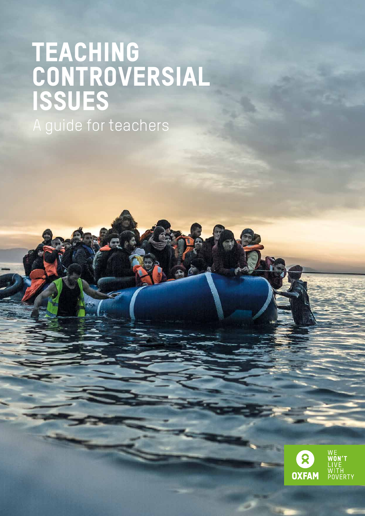# Teaching **CONTROVERSIAL** Issues

A guide for teachers

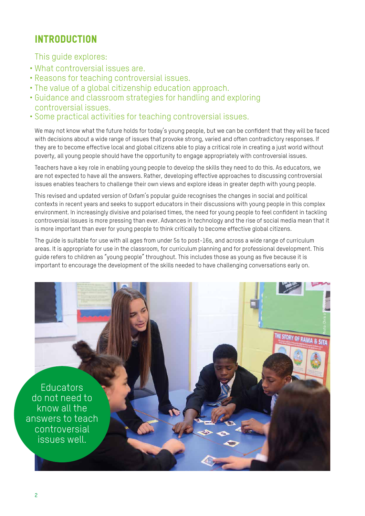# INTRODUCTION

This guide explores:

- What controversial issues are.
- Reasons for teaching controversial issues.
- The value of a global citizenship education approach.
- Guidance and classroom strategies for handling and exploring controversial issues.
- Some practical activities for teaching controversial issues.

We may not know what the future holds for today's young people, but we can be confident that they will be faced with decisions about a wide range of issues that provoke strong, varied and often contradictory responses. If they are to become effective local and global citizens able to play a critical role in creating a just world without poverty, all young people should have the opportunity to engage appropriately with controversial issues.

Teachers have a key role in enabling young people to develop the skills they need to do this. As educators, we are not expected to have all the answers. Rather, developing effective approaches to discussing controversial issues enables teachers to challenge their own views and explore ideas in greater depth with young people.

This revised and updated version of Oxfam's popular guide recognises the changes in social and political contexts in recent years and seeks to support educators in their discussions with young people in this complex environment. In increasingly divisive and polarised times, the need for young people to feel confident in tackling controversial issues is more pressing than ever. Advances in technology and the rise of social media mean that it is more important than ever for young people to think critically to become effective global citizens.

The guide is suitable for use with all ages from under 5s to post-16s, and across a wide range of curriculum areas. It is appropriate for use in the classroom, for curriculum planning and for professional development. This guide refers to children as "young people" throughout. This includes those as young as five because it is important to encourage the development of the skills needed to have challenging conversations early on.

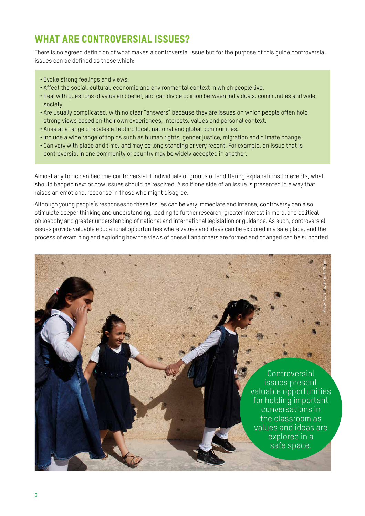# WHAT ARE CONTROVERSIAL ISSUES?

There is no agreed definition of what makes a controversial issue but for the purpose of this guide controversial issues can be defined as those which:

- Evoke strong feelings and views.
- Affect the social, cultural, economic and environmental context in which people live.
- Deal with questions of value and belief, and can divide opinion between individuals, communities and wider society.
- Are usually complicated, with no clear "answers" because they are issues on which people often hold strong views based on their own experiences, interests, values and personal context.
- Arise at a range of scales affecting local, national and global communities.
- Include a wide range of topics such as human rights, gender justice, migration and climate change.
- Can vary with place and time, and may be long standing or very recent. For example, an issue that is controversial in one community or country may be widely accepted in another.

Almost any topic can become controversial if individuals or groups offer differing explanations for events, what should happen next or how issues should be resolved. Also if one side of an issue is presented in a way that raises an emotional response in those who might disagree.

Although young people's responses to these issues can be very immediate and intense, controversy can also stimulate deeper thinking and understanding, leading to further research, greater interest in moral and political philosophy and greater understanding of national and international legislation or guidance. As such, controversial issues provide valuable educational opportunities where values and ideas can be explored in a safe place, and the process of examining and exploring how the views of oneself and others are formed and changed can be supported.

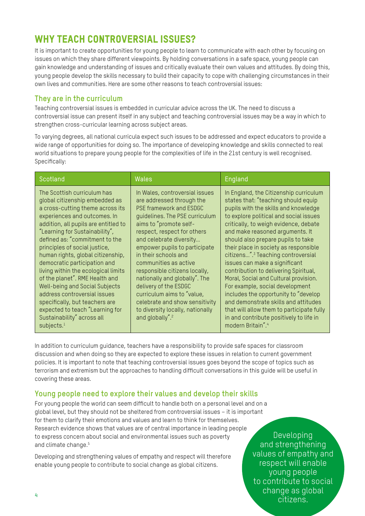# WHY TEACH CONTROVERSIAL ISSUES?

It is important to create opportunities for young people to learn to communicate with each other by focusing on issues on which they share different viewpoints. By holding conversations in a safe space, young people can gain knowledge and understanding of issues and critically evaluate their own values and attitudes. By doing this, young people develop the skills necessary to build their capacity to cope with challenging circumstances in their own lives and communities. Here are some other reasons to teach controversial issues:

### **They are in the curriculum**

Teaching controversial issues is embedded in curricular advice across the UK. The need to discuss a controversial issue can present itself in any subject and teaching controversial issues may be a way in which to strengthen cross-curricular learning across subject areas.

To varying degrees, all national curricula expect such issues to be addressed and expect educators to provide a wide range of opportunities for doing so. The importance of developing knowledge and skills connected to real world situations to prepare young people for the complexities of life in the 21st century is well recognised. Specifically:

| Scotland                                                                                                                                                                                                                                                                                                                                                                                                                                                                                                                                                                                                                    | <b>Wales</b>                                                                                                                                                                                                                                                                                                                                                                                                                                                                                                                 | England                                                                                                                                                                                                                                                                                                                                                                                                                                                                                                                                                                                                                                                                                                                         |
|-----------------------------------------------------------------------------------------------------------------------------------------------------------------------------------------------------------------------------------------------------------------------------------------------------------------------------------------------------------------------------------------------------------------------------------------------------------------------------------------------------------------------------------------------------------------------------------------------------------------------------|------------------------------------------------------------------------------------------------------------------------------------------------------------------------------------------------------------------------------------------------------------------------------------------------------------------------------------------------------------------------------------------------------------------------------------------------------------------------------------------------------------------------------|---------------------------------------------------------------------------------------------------------------------------------------------------------------------------------------------------------------------------------------------------------------------------------------------------------------------------------------------------------------------------------------------------------------------------------------------------------------------------------------------------------------------------------------------------------------------------------------------------------------------------------------------------------------------------------------------------------------------------------|
| The Scottish curriculum has<br>global citizenship embedded as<br>a cross-cutting theme across its<br>experiences and outcomes. In<br>addition, all pupils are entitled to<br>"Learning for Sustainability",<br>defined as: "commitment to the<br>principles of social justice,<br>human rights, global citizenship,<br>democratic participation and<br>living within the ecological limits<br>of the planet". RME Health and<br>Well-being and Social Subjects<br>address controversial issues<br>specifically, but teachers are<br>expected to teach "Learning for<br>Sustainability" across all<br>subjects. <sup>1</sup> | In Wales, controversial issues<br>are addressed through the<br>PSE framework and ESDGC<br>guidelines. The PSE curriculum<br>aims to "promote self-<br>respect, respect for others<br>and celebrate diversity<br>empower pupils to participate<br>in their schools and<br>communities as active<br>responsible citizens locally,<br>nationally and globally". The<br>delivery of the ESDGC<br>curriculum aims to "value,<br>celebrate and show sensitivity<br>to diversity locally, nationally<br>and globally". <sup>2</sup> | In England, the Citizenship curriculum<br>states that: "teaching should equip<br>pupils with the skills and knowledge<br>to explore political and social issues<br>critically, to weigh evidence, debate<br>and make reasoned arguments. It<br>should also prepare pupils to take<br>their place in society as responsible<br>citizens". <sup>3</sup> Teaching controversial<br>issues can make a significant<br>contribution to delivering Spiritual,<br>Moral, Social and Cultural provision.<br>For example, social development<br>includes the opportunity to "develop<br>and demonstrate skills and attitudes<br>that will allow them to participate fully<br>in and contribute positively to life in<br>modern Britain".4 |

In addition to curriculum guidance, teachers have a responsibility to provide safe spaces for classroom discussion and when doing so they are expected to explore these issues in relation to current government policies. It is important to note that teaching controversial issues goes beyond the scope of topics such as terrorism and extremism but the approaches to handling difficult conversations in this guide will be useful in covering these areas.

### **Young people need to explore their values and develop their skills**

For young people the world can seem difficult to handle both on a personal level and on a global level, but they should not be sheltered from controversial issues – it is important for them to clarify their emotions and values and learn to think for themselves. Research evidence shows that values are of central importance in leading people to express concern about social and environmental issues such as poverty and climate change.<sup>5</sup>

Developing and strengthening values of empathy and respect will therefore enable young people to contribute to social change as global citizens.

Developing and strengthening values of empathy and respect will enable young people to contribute to social change as global citizens.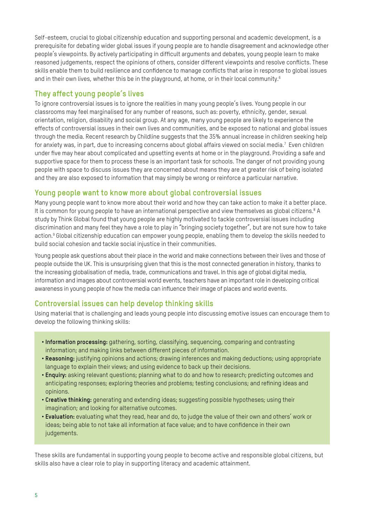Self-esteem, crucial to global citizenship education and supporting personal and academic development, is a prerequisite for debating wider global issues if young people are to handle disagreement and acknowledge other people's viewpoints. By actively participating in difficult arguments and debates, young people learn to make reasoned judgements, respect the opinions of others, consider different viewpoints and resolve conflicts. These skills enable them to build resilience and confidence to manage conflicts that arise in response to global issues and in their own lives, whether this be in the playground, at home, or in their local community.<sup>6</sup>

## **They affect young people's lives**

To ignore controversial issues is to ignore the realities in many young people's lives. Young people in our classrooms may feel marginalised for any number of reasons, such as: poverty, ethnicity, gender, sexual orientation, religion, disability and social group. At any age, many young people are likely to experience the effects of controversial issues in their own lives and communities, and be exposed to national and global issues through the media. Recent research by Childline suggests that the 35% annual increase in children seeking help for anxiety was, in part, due to increasing concerns about global affairs viewed on social media.<sup>7</sup> Even children under five may hear about complicated and upsetting events at home or in the playground. Providing a safe and supportive space for them to process these is an important task for schools. The danger of not providing young people with space to discuss issues they are concerned about means they are at greater risk of being isolated and they are also exposed to information that may simply be wrong or reinforce a particular narrative.

### **Young people want to know more about global controversial issues**

Many young people want to know more about their world and how they can take action to make it a better place. It is common for young people to have an international perspective and view themselves as global citizens.<sup>8</sup> A study by Think Global found that young people are highly motivated to tackle controversial issues including discrimination and many feel they have a role to play in "bringing society together", but are not sure how to take action.9 Global citizenship education can empower young people, enabling them to develop the skills needed to build social cohesion and tackle social injustice in their communities.

Young people ask questions about their place in the world and make connections between their lives and those of people outside the UK. This is unsurprising given that this is the most connected generation in history, thanks to the increasing globalisation of media, trade, communications and travel. In this age of global digital media, information and images about controversial world events, teachers have an important role in developing critical awareness in young people of how the media can influence their image of places and world events.

### **Controversial issues can help develop thinking skills**

Using material that is challenging and leads young people into discussing emotive issues can encourage them to develop the following thinking skills:

- **Information processing:** gathering, sorting, classifying, sequencing, comparing and contrasting information; and making links between different pieces of information.
- **Reasoning:** justifying opinions and actions; drawing inferences and making deductions; using appropriate language to explain their views; and using evidence to back up their decisions.
- **Enquiry:** asking relevant questions; planning what to do and how to research; predicting outcomes and anticipating responses; exploring theories and problems; testing conclusions; and refining ideas and opinions.
- **Creative thinking:** generating and extending ideas; suggesting possible hypotheses; using their imagination; and looking for alternative outcomes.
- **Evaluation:** evaluating what they read, hear and do, to judge the value of their own and others' work or ideas; being able to not take all information at face value; and to have confidence in their own judgements.

These skills are fundamental in supporting young people to become active and responsible global citizens, but skills also have a clear role to play in supporting literacy and academic attainment.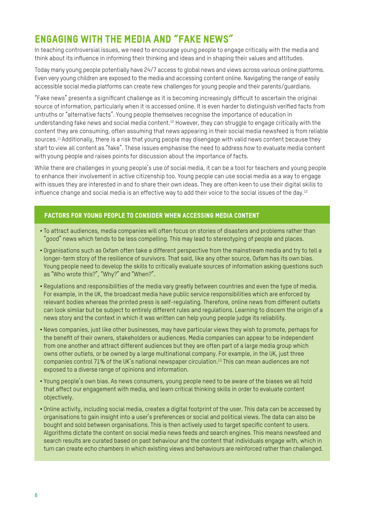# ENGAGING WITH THE MEDIA AND "FAKE NEWS"

In teaching controversial issues, we need to encourage young people to engage critically with the media and think about its influence in informing their thinking and ideas and in shaping their values and attitudes.

Today many young people potentially have 24/7 access to global news and views across various online platforms. Even very young children are exposed to the media and accessing content online. Navigating the range of easily accessible social media platforms can create new challenges for young people and their parents/guardians.

"Fake news" presents a significant challenge as it is becoming increasingly difficult to ascertain the original source of information, particularly when it is accessed online. It is even harder to distinguish verified facts from untruths or "alternative facts". Young people themselves recognise the importance of education in understanding fake news and social media content.<sup>10</sup> However, they can struggle to engage critically with the content they are consuming, often assuming that news appearing in their social media newsfeed is from reliable sources.<sup>11</sup> Additionally, there is a risk that young people may disengage with valid news content because they start to view all content as "fake". These issues emphasise the need to address how to evaluate media content with young people and raises points for discussion about the importance of facts.

While there are challenges in young people's use of social media, it can be a tool for teachers and young people to enhance their involvement in active citizenship too. Young people can use social media as a way to engage with issues they are interested in and to share their own ideas. They are often keen to use their digital skills to influence change and social media is an effective way to add their voice to the social issues of the day.<sup>12</sup>

#### Factors for young people to consider when accessing media content

- To attract audiences, media companies will often focus on stories of disasters and problems rather than "good" news which tends to be less compelling. This may lead to stereotyping of people and places.
- Organisations such as Oxfam often take a different perspective from the mainstream media and try to tell a longer-term story of the resilience of survivors. That said, like any other source, Oxfam has its own bias. Young people need to develop the skills to critically evaluate sources of information asking questions such as "Who wrote this?", "Why?" and "When?".
- Regulations and responsibilities of the media vary greatly between countries and even the type of media. For example, in the UK, the broadcast media have public service responsibilities which are enforced by relevant bodies whereas the printed press is self-regulating. Therefore, online news from different outlets can look similar but be subject to entirely different rules and regulations. Learning to discern the origin of a news story and the context in which it was written can help young people judge its reliability.
- News companies, just like other businesses, may have particular views they wish to promote, perhaps for the benefit of their owners, stakeholders or audiences. Media companies can appear to be independent from one another and attract different audiences but they are often part of a large media group which owns other outlets, or be owned by a large multinational company. For example, in the UK, just three companies control 71% of the UK's national newspaper circulation.13 This can mean audiences are not exposed to a diverse range of opinions and information.
- Young people's own bias. As news consumers, young people need to be aware of the biases we all hold that affect our engagement with media, and learn critical thinking skills in order to evaluate content objectively.
- Online activity, including social media, creates a digital footprint of the user. This data can be accessed by organisations to gain insight into a user's preferences or social and political views. The data can also be bought and sold between organisations. This is then actively used to target specific content to users. Algorithms dictate the content on social media news feeds and search engines. This means newsfeed and search results are curated based on past behaviour and the content that individuals engage with, which in turn can create echo chambers in which existing views and behaviours are reinforced rather than challenged.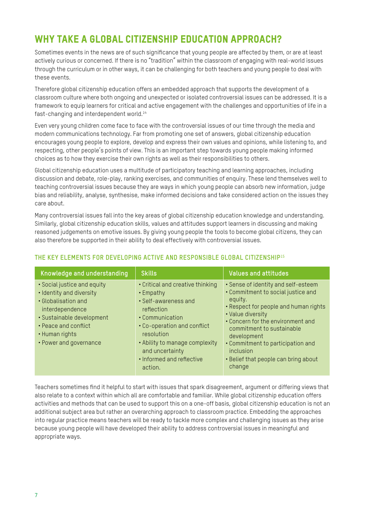# WHY TAKE A GLOBAL CITIZENSHIP EDUCATION APPROACH?

Sometimes events in the news are of such significance that young people are affected by them, or are at least actively curious or concerned. If there is no "tradition" within the classroom of engaging with real-world issues through the curriculum or in other ways, it can be challenging for both teachers and young people to deal with these events.

Therefore global citizenship education offers an embedded approach that supports the development of a classroom culture where both ongoing and unexpected or isolated controversial issues can be addressed. It is a framework to equip learners for critical and active engagement with the challenges and opportunities of life in a fast-changing and interdependent world.<sup>14</sup>

Even very young children come face to face with the controversial issues of our time through the media and modern communications technology. Far from promoting one set of answers, global citizenship education encourages young people to explore, develop and express their own values and opinions, while listening to, and respecting, other people's points of view. This is an important step towards young people making informed choices as to how they exercise their own rights as well as their responsibilities to others.

Global citizenship education uses a multitude of participatory teaching and learning approaches, including discussion and debate, role-play, ranking exercises, and communities of enquiry. These lend themselves well to teaching controversial issues because they are ways in which young people can absorb new information, judge bias and reliability, analyse, synthesise, make informed decisions and take considered action on the issues they care about.

Many controversial issues fall into the key areas of global citizenship education knowledge and understanding. Similarly, global citizenship education skills, values and attitudes support learners in discussing and making reasoned judgements on emotive issues. By giving young people the tools to become global citizens, they can also therefore be supported in their ability to deal effectively with controversial issues.

| <b>Knowledge and understanding</b>                                                                                                                                                                 | <b>Skills</b>                                                                                                                                                                                                                                    | <b>Values and attitudes</b>                                                                                                                                                                                                                                                                                                             |
|----------------------------------------------------------------------------------------------------------------------------------------------------------------------------------------------------|--------------------------------------------------------------------------------------------------------------------------------------------------------------------------------------------------------------------------------------------------|-----------------------------------------------------------------------------------------------------------------------------------------------------------------------------------------------------------------------------------------------------------------------------------------------------------------------------------------|
| • Social justice and equity<br>• Identity and diversity<br>• Globalisation and<br>interdependence<br>• Sustainable development<br>• Peace and conflict<br>• Human rights<br>• Power and governance | • Critical and creative thinking<br>• Empathy<br>• Self-awareness and<br>reflection<br>• Communication<br>• Co-operation and conflict<br>resolution<br>• Ability to manage complexity<br>and uncertainty<br>• Informed and reflective<br>action. | • Sense of identity and self-esteem<br>• Commitment to social justice and<br>equity.<br>• Respect for people and human rights<br>• Value diversity<br>• Concern for the environment and<br>commitment to sustainable<br>development<br>• Commitment to participation and<br>inclusion<br>• Belief that people can bring about<br>change |

#### **THE KEY ELEMENTS FOR DEVELOPING ACTIVE AND RESPONSIBLE GLOBAL CITIZENSHIP**<sup>15</sup>

Teachers sometimes find it helpful to start with issues that spark disagreement, argument or differing views that also relate to a context within which all are comfortable and familiar. While global citizenship education offers activities and methods that can be used to support this on a one-off basis, global citizenship education is not an additional subject area but rather an overarching approach to classroom practice. Embedding the approaches into regular practice means teachers will be ready to tackle more complex and challenging issues as they arise because young people will have developed their ability to address controversial issues in meaningful and appropriate ways.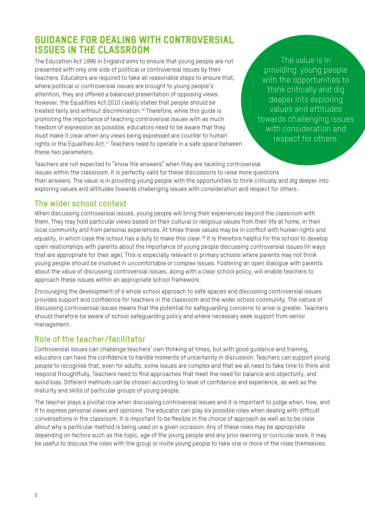# Guidance for dealing with controversial issues in the classroom

The Education Act 1996 in England aims to ensure that young people are not presented with only one side of political or controversial issues by their teachers. Educators are required to take all reasonable steps to ensure that, where political or controversial issues are brought to young people's attention, they are offered a balanced presentation of opposing views. However, the Equalities Act 2010 clearly states that people should be treated fairly and without discrimination.<sup>16</sup> Therefore, while this quide is promoting the importance of teaching controversial issues with as much freedom of expression as possible, educators need to be aware that they must make it clear when any views being expressed are counter to human rights or the Equalities Act.<sup>17</sup> Teachers need to operate in a safe space between these two parameters.

The value is in providing young people with the opportunities to think critically and dig deeper into exploring values and attitudes towards challenging issues with consideration and respect for others.

Teachers are not expected to "know the answers" when they are tackling controversial issues within the classroom. It is perfectly valid for these discussions to raise more questions than answers. The value is in providing young people with the opportunities to think critically and dig deeper into exploring values and attitudes towards challenging issues with consideration and respect for others.

# **The wider school context**

When discussing controversial issues, young people will bring their experiences beyond the classroom with them. They may hold particular views based on their cultural or religious values from their life at home, in their local community and from personal experiences. At times these values may be in conflict with human rights and equality, in which case the school has a duty to make this clear.<sup>18</sup> It is therefore helpful for the school to develop open relationships with parents about the importance of young people discussing controversial issues (in ways that are appropriate for their age). This is especially relevant in primary schools where parents may not think young people should be involved in uncomfortable or complex issues. Fostering an open dialogue with parents about the value of discussing controversial issues, along with a clear school policy, will enable teachers to approach these issues within an appropriate school framework.

Encouraging the development of a whole school approach to safe spaces and discussing controversial issues provides support and confidence for teachers in the classroom and the wider school community. The nature of discussing controversial issues means that the potential for safeguarding concerns to arise is greater. Teachers should therefore be aware of school safeguarding policy and where necessary seek support from senior management.

# **Role of the teacher/facilitator**

Controversial issues can challenge teachers' own thinking at times, but with good guidance and training, educators can have the confidence to handle moments of uncertainty in discussion. Teachers can support young people to recognise that, even for adults, some issues are complex and that we all need to take time to think and respond thoughtfully. Teachers need to find approaches that meet the need for balance and objectivity, and avoid bias. Different methods can be chosen according to level of confidence and experience, as well as the maturity and skills of particular groups of young people.

The teacher plays a pivotal role when discussing controversial issues and it is important to judge when, how, and if to express personal views and opinions. The educator can play six possible roles when dealing with difficult conversations in the classroom. It is important to be flexible in the choice of approach as well as to be clear about why a particular method is being used on a given occasion. Any of these roles may be appropriate depending on factors such as the topic, age of the young people and any prior learning or curricular work. It may be useful to discuss the roles with the group or invite young people to take one or more of the roles themselves.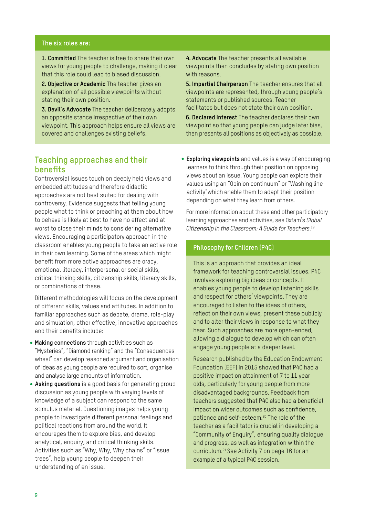#### **The six roles are:**

**1. Committed** The teacher is free to share their own views for young people to challenge, making it clear that this role could lead to biased discussion.

**2. Objective or Academic** The teacher gives an explanation of all possible viewpoints without stating their own position.

**3. Devil's Advocate** The teacher deliberately adopts an opposite stance irrespective of their own viewpoint. This approach helps ensure all views are covered and challenges existing beliefs.

**4. Advocate** The teacher presents all available viewpoints then concludes by stating own position with reasons.

**5. Impartial Chairperson** The teacher ensures that all viewpoints are represented, through young people's statements or published sources. Teacher facilitates but does not state their own position.

**6. Declared Interest** The teacher declares their own viewpoint so that young people can judge later bias, then presents all positions as objectively as possible.

### **Teaching approaches and their benefits**

Controversial issues touch on deeply held views and embedded attitudes and therefore didactic approaches are not best suited for dealing with controversy. Evidence suggests that telling young people what to think or preaching at them about how to behave is likely at best to have no effect and at worst to close their minds to considering alternative views. Encouraging a participatory approach in the classroom enables young people to take an active role in their own learning. Some of the areas which might benefit from more active approaches are oracy, emotional literacy, interpersonal or social skills, critical thinking skills, citizenship skills, literacy skills, or combinations of these.

Different methodologies will focus on the development of different skills, values and attitudes. In addition to familiar approaches such as debate, drama, role-play and simulation, other effective, innovative approaches and their benefits include:

- **Making connections** through activities such as "Mysteries", "Diamond ranking" and the "Consequences wheel" can develop reasoned argument and organisation of ideas as young people are required to sort, organise and analyse large amounts of information.
- **Asking questions** is a good basis for generating group discussion as young people with varying levels of knowledge of a subject can respond to the same stimulus material. Questioning images helps young people to investigate different personal feelings and political reactions from around the world. It encourages them to explore bias, and develop analytical, enquiry, and critical thinking skills. Activities such as "Why, Why, Why chains" or "Issue trees", help young people to deepen their understanding of an issue.

**• Exploring viewpoints** and values is a way of encouraging learners to think through their position on opposing views about an issue. Young people can explore their values using an "Opinion continuum" or "Washing line activity"which enable them to adapt their position depending on what they learn from others.

For more information about these and other participatory learning approaches and activities, see Oxfam's *Global Citizenship in the Classroom: A Guide for Teachers.*<sup>19</sup>

#### **Philosophy for Children (P4C)**

This is an approach that provides an ideal framework for teaching controversial issues. P4C involves exploring big ideas or concepts. It enables young people to develop listening skills and respect for others' viewpoints. They are encouraged to listen to the ideas of others, reflect on their own views, present these publicly and to alter their views in response to what they hear. Such approaches are more open-ended, allowing a dialogue to develop which can often engage young people at a deeper level.

Research published by the Education Endowment Foundation (EEF) in 2015 showed that P4C had a positive impact on attainment of 7 to 11 year olds, particularly for young people from more disadvantaged backgrounds. Feedback from teachers suggested that P4C also had a beneficial impact on wider outcomes such as confidence, patience and self-esteem.<sup>20</sup> The role of the teacher as a facilitator is crucial in developing a "Community of Enquiry", ensuring quality dialogue and progress, as well as integration within the curriculum.21 See Activity 7 on page 16 for an example of a typical P4C session.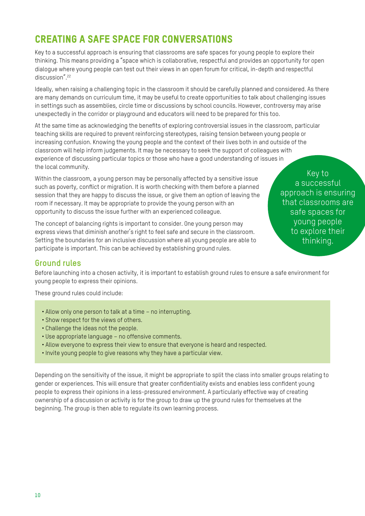# Creating a safe space for conversations

Key to a successful approach is ensuring that classrooms are safe spaces for young people to explore their thinking. This means providing a "space which is collaborative, respectful and provides an opportunity for open dialogue where young people can test out their views in an open forum for critical, in-depth and respectful discussion".<sup>22</sup>

Ideally, when raising a challenging topic in the classroom it should be carefully planned and considered. As there are many demands on curriculum time, it may be useful to create opportunities to talk about challenging issues in settings such as assemblies, circle time or discussions by school councils. However, controversy may arise unexpectedly in the corridor or playground and educators will need to be prepared for this too.

At the same time as acknowledging the benefits of exploring controversial issues in the classroom, particular teaching skills are required to prevent reinforcing stereotypes, raising tension between young people or increasing confusion. Knowing the young people and the context of their lives both in and outside of the classroom will help inform judgements. It may be necessary to seek the support of colleagues with experience of discussing particular topics or those who have a good understanding of issues in the local community.

Within the classroom, a young person may be personally affected by a sensitive issue such as poverty, conflict or migration. It is worth checking with them before a planned session that they are happy to discuss the issue, or give them an option of leaving the room if necessary. It may be appropriate to provide the young person with an opportunity to discuss the issue further with an experienced colleague.

The concept of balancing rights is important to consider. One young person may express views that diminish another's right to feel safe and secure in the classroom. Setting the boundaries for an inclusive discussion where all young people are able to participate is important. This can be achieved by establishing ground rules.

Key to a successful approach is ensuring that classrooms are safe spaces for young people to explore their thinking.

## **Ground rules**

Before launching into a chosen activity, it is important to establish ground rules to ensure a safe environment for young people to express their opinions.

These ground rules could include:

- Allow only one person to talk at a time no interrupting.
- Show respect for the views of others.
- Challenge the ideas not the people.
- Use appropriate language no offensive comments.
- Allow everyone to express their view to ensure that everyone is heard and respected.
- Invite young people to give reasons why they have a particular view.

Depending on the sensitivity of the issue, it might be appropriate to split the class into smaller groups relating to gender or experiences. This will ensure that greater confidentiality exists and enables less confident young people to express their opinions in a less-pressured environment. A particularly effective way of creating ownership of a discussion or activity is for the group to draw up the ground rules for themselves at the beginning. The group is then able to regulate its own learning process.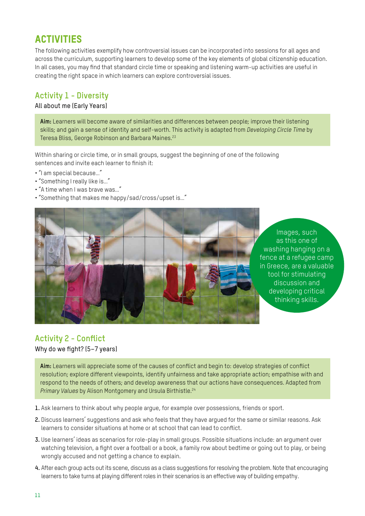# **ACTIVITIES**

The following activities exemplify how controversial issues can be incorporated into sessions for all ages and across the curriculum, supporting learners to develop some of the key elements of global citizenship education. In all cases, you may find that standard circle time or speaking and listening warm-up activities are useful in creating the right space in which learners can explore controversial issues.

# **Activity 1 - Diversity**

#### All about me (Early Years)

**Aim:** Learners will become aware of similarities and differences between people; improve their listening skills; and gain a sense of identity and self-worth. This activity is adapted from *Developing Circle Time* by Teresa Bliss, George Robinson and Barbara Maines.<sup>23</sup>

Within sharing or circle time, or in small groups, suggest the beginning of one of the following sentences and invite each learner to finish it:

- "I am special because…"
- "Something I really like is…"
- "A time when I was brave was…"
- "Something that makes me happy/sad/cross/upset is…"



Images, such as this one of washing hanging on a fence at a refugee camp in Greece, are a valuable tool for stimulating discussion and developing critical thinking skills.

# **Activity 2 - Conflict** Why do we fight? (5–7 years)

**Aim:** Learners will appreciate some of the causes of conflict and begin to: develop strategies of conflict resolution; explore different viewpoints, identify unfairness and take appropriate action; empathise with and respond to the needs of others; and develop awareness that our actions have consequences. Adapted from *Primary Values* by Alison Montgomery and Ursula Birthistle.<sup>24</sup>

- **1.** Ask learners to think about why people argue, for example over possessions, friends or sport.
- **2.** Discuss learners' suggestions and ask who feels that they have argued for the same or similar reasons. Ask learners to consider situations at home or at school that can lead to conflict.
- **3.** Use learners' ideas as scenarios for role-play in small groups. Possible situations include: an argument over watching television, a fight over a football or a book, a family row about bedtime or going out to play, or being wrongly accused and not getting a chance to explain.
- **4.** After each group acts out its scene, discuss as a class suggestions for resolving the problem. Note that encouraging learners to take turns at playing different roles in their scenarios is an effective way of building empathy.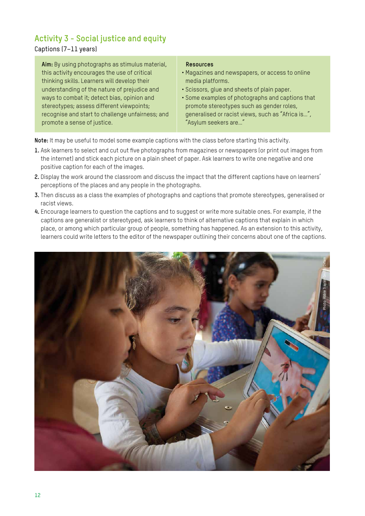# **Activity 3 - Social justice and equity**

#### Captions (7–11 years)

**Aim:** By using photographs as stimulus material, this activity encourages the use of critical thinking skills. Learners will develop their understanding of the nature of prejudice and ways to combat it; detect bias, opinion and stereotypes; assess different viewpoints; recognise and start to challenge unfairness; and promote a sense of justice.

#### **Resources**

- Magazines and newspapers, or access to online media platforms.
- Scissors, glue and sheets of plain paper.
- Some examples of photographs and captions that promote stereotypes such as gender roles, generalised or racist views, such as "Africa is…", "Asylum seekers are…"

**Note:** It may be useful to model some example captions with the class before starting this activity.

- **1.** Ask learners to select and cut out five photographs from magazines or newspapers (or print out images from the internet) and stick each picture on a plain sheet of paper. Ask learners to write one negative and one positive caption for each of the images.
- **2.** Display the work around the classroom and discuss the impact that the different captions have on learners' perceptions of the places and any people in the photographs.
- **3.** Then discuss as a class the examples of photographs and captions that promote stereotypes, generalised or racist views.
- **4.** Encourage learners to question the captions and to suggest or write more suitable ones. For example, if the captions are generalist or stereotyped, ask learners to think of alternative captions that explain in which place, or among which particular group of people, something has happened. As an extension to this activity, learners could write letters to the editor of the newspaper outlining their concerns about one of the captions.

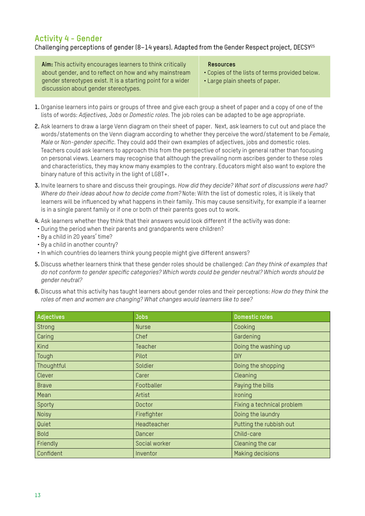## **Activity 4 - Gender**

### Challenging perceptions of gender (8-14 years). Adapted from the Gender Respect project, DECSY<sup>25</sup>

**Aim:** This activity encourages learners to think critically about gender, and to reflect on how and why mainstream gender stereotypes exist. It is a starting point for a wider discussion about gender stereotypes.

#### **Resources**

- Copies of the lists of terms provided below.
- Large plain sheets of paper.
- **1.** Organise learners into pairs or groups of three and give each group a sheet of paper and a copy of one of the lists of words: *Adjectives*, *Jobs* or *Domestic roles*. The job roles can be adapted to be age appropriate.
- **2.** Ask learners to draw a large Venn diagram on their sheet of paper. Next, ask learners to cut out and place the words/statements on the Venn diagram according to whether they perceive the word/statement to be *Female, Male* or *Non-gender specific*. They could add their own examples of adjectives, jobs and domestic roles. Teachers could ask learners to approach this from the perspective of society in general rather than focusing on personal views. Learners may recognise that although the prevailing norm ascribes gender to these roles and characteristics, they may know many examples to the contrary. Educators might also want to explore the binary nature of this activity in the light of LGBT+.
- **3.** Invite learners to share and discuss their groupings. *How did they decide? What sort of discussions were had? Where do their ideas about how to decide come from?* Note: With the list of domestic roles, it is likely that learners will be influenced by what happens in their family. This may cause sensitivity, for example if a learner is in a single parent family or if one or both of their parents goes out to work.
- **4.** Ask learners whether they think that their answers would look different if the activity was done:
- During the period when their parents and grandparents were children?
- By a child in 20 years' time?
- By a child in another country?
- In which countries do learners think young people might give different answers?
- **5***.* Discuss whether learners think that these gender roles should be challenged: *Can they think of examples that do not conform to gender specific categories? Which words could be gender neutral? Which words should be gender neutral?*
- **6.** Discuss what this activity has taught learners about gender roles and their perceptions: *How do they think the roles of men and women are changing? What changes would learners like to see?*

| Adjectives   | <b>Jobs</b>    | <b>Domestic roles</b>      |
|--------------|----------------|----------------------------|
| Strong       | <b>Nurse</b>   | Cooking                    |
| Caring       | Chef           | Gardening                  |
| Kind         | <b>Teacher</b> | Doing the washing up       |
| Tough        | Pilot          | <b>DIY</b>                 |
| Thoughtful   | Soldier        | Doing the shopping         |
| Clever       | Carer          | Cleaning                   |
| <b>Brave</b> | Footballer     | Paying the bills           |
| Mean         | Artist         | Ironing                    |
| Sporty       | Doctor         | Fixing a technical problem |
| <b>Noisy</b> | Firefighter    | Doing the laundry          |
| Quiet        | Headteacher    | Putting the rubbish out    |
| <b>Bold</b>  | Dancer         | Child-care                 |
| Friendly     | Social worker  | Cleaning the car           |
| Confident    | Inventor       | Making decisions           |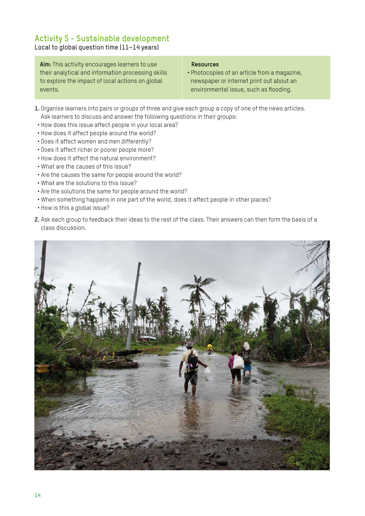# **Activity 5 - Sustainable development**

Local to global question time (11–14 years)

**Aim:** This activity encourages learners to use their analytical and information processing skills to explore the impact of local actions on global events.

#### **Resources**

- Photocopies of an article from a magazine, newspaper or internet print out about an environmental issue, such as flooding.
- **1.** Organise learners into pairs or groups of three and give each group a copy of one of the news articles. Ask learners to discuss and answer the following questions in their groups:
- How does this issue affect people in your local area?
- How does it affect people around the world?
- Does it affect women and men differently?
- Does it affect richer or poorer people more?
- How does it affect the natural environment?
- What are the causes of this issue?
- Are the causes the same for people around the world?
- What are the solutions to this issue?
- Are the solutions the same for people around the world?
- When something happens in one part of the world, does it affect people in other places?
- How is this a global issue?
- **2.** Ask each group to feedback their ideas to the rest of the class. Their answers can then form the basis of a class discussion.

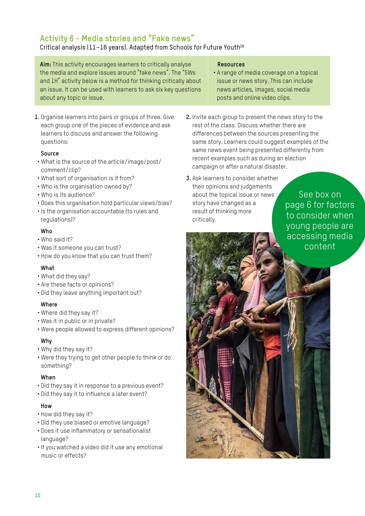# **Activity 6 - Media stories and "Fake news"**

# Critical analysis (11-16 years). Adapted from Schools for Future Youth<sup>26</sup>

**Aim:** This activity encourages learners to critically analyse the media and explore issues around "fake news". The "5Ws and 1H" activity below is a method for thinking critically about an issue. It can be used with learners to ask six key questions about any topic or issue.

#### **1**. Organise learners into pairs or groups of three. Give each group one of the pieces of evidence and ask learners to discuss and answer the following questions:

#### **Source**

- What is the source of the article/image/post/ comment/clip?
- What sort of organisation is it from?
- Who is the organisation owned by?
- Who is its audience?
- Does this organisation hold particular views/bias?
- Is the organisation accountable (to rules and regulations)?

#### **Who**

- Who said it?
- Was it someone you can trust?
- How do you know that you can trust them?

#### **What**

- What did they say?
- Are these facts or opinions?
- Did they leave anything important out?

#### **Where**

- Where did they say it?
- Was it in public or in private?
- Were people allowed to express different opinions?

#### **Why**

- Why did they say it?
- Were they trying to get other people to think or do something?

#### **When**

- Did they say it in response to a previous event?
- Did they say it to influence a later event?

### **How**

- How did they say it?
- Did they use biased or emotive language?
- Does it use inflammatory or sensationalist language?
- If you watched a video did it use any emotional music or effects?

#### **Resources**

- A range of media coverage on a topical issue or news story. This can include news articles, images, social media posts and online video clips.
- **2.** Invite each group to present the news story to the rest of the class. Discuss whether there are differences between the sources presenting the same story. Learners could suggest examples of the same news event being presented differently from recent examples such as during an election campaign or after a natural disaster.

#### **3.** Ask learners to consider whether their opinions and judgements about the topical issue or news story have changed as a result of thinking more critically.

See box on page 6 for factors to consider when young people are accessing media content

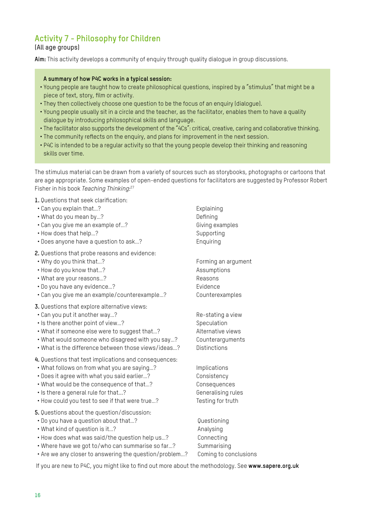# **Activity 7 - Philosophy for Children**

#### (All age groups)

**Aim:** This activity develops a community of enquiry through quality dialogue in group discussions.

#### **A summary of how P4C works in a typical session:**

- Young people are taught how to create philosophical questions, inspired by a "stimulus" that might be a piece of text, story, film or activity.
- They then collectively choose one question to be the focus of an enquiry (dialogue).
- Young people usually sit in a circle and the teacher, as the facilitator, enables them to have a quality dialogue by introducing philosophical skills and language.
- The facilitator also supports the development of the "4Cs": critical, creative, caring and collaborative thinking.
- The community reflects on the enquiry, and plans for improvement in the next session.
- P4C is intended to be a regular activity so that the young people develop their thinking and reasoning skills over time.

The stimulus material can be drawn from a variety of sources such as storybooks, photographs or cartoons that are age appropriate. Some examples of open-ended questions for facilitators are suggested by Professor Robert Fisher in his book *Teaching Thinking*: 27

**1.** Questions that seek clarification:

- Can you explain that...? Explaining
- What do you mean by…? Defining
- Can you give me an example of...? Giving examples
- How does that help...? Supporting
- Does anyone have a question to ask…? Enquiring
- **2.** Questions that probe reasons and evidence:
- Why do you think that...? Forming an argument
- How do you know that...? Assumptions
- What are your reasons...? The contraction of the Reasons
- Do you have any evidence…? Evidence
- Can you give me an example/counterexample…? Counterexamples
- **3.** Questions that explore alternative views:
- Can you put it another way...? The stating a view
- Is there another point of view...? Speculation
- What if someone else were to suggest that...? Alternative views
- What would someone who disagreed with you say...? Counterarguments
- What is the difference between those views/ideas...? Distinctions
- **4.** Questions that test implications and consequences:
- What follows on from what you are saving...? Implications
- Does it agree with what you said earlier...? Consistency
- What would be the consequence of that...? Consequences
- Is there a general rule for that...? Generalising rules
- How could you test to see if that were true...? Testing for truth
- **5.** Questions about the question/discussion:
- Do you have a question about that...?  $Q$ uestioning
- What kind of question is it...? Analysing
- How does what was said/the question help us...? Connecting
- Where have we got to/who can summarise so far...? Summarising
- Are we any closer to answering the question/problem…? Coming to conclusions

If you are new to P4C, you might like to find out more about the methodology. See **www.sapere.org.uk**

- -
- 
- 
-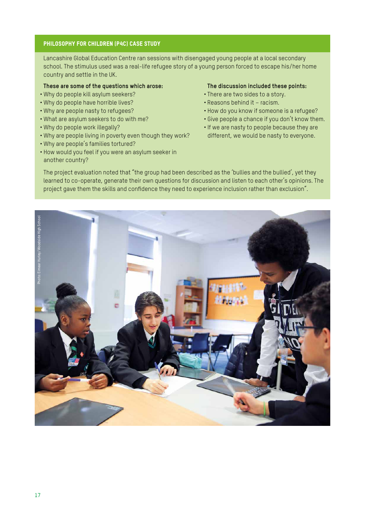#### Philosophy for children (P4C) case study

Lancashire Global Education Centre ran sessions with disengaged young people at a local secondary school. The stimulus used was a real-life refugee story of a young person forced to escape his/her home country and settle in the UK.

#### **These are some of the questions which arose:**

- Why do people kill asylum seekers?
- Why do people have horrible lives?
- Why are people nasty to refugees?
- What are asylum seekers to do with me?
- Why do people work illegally?
- Why are people living in poverty even though they work?
- Why are people's families tortured?
- How would you feel if you were an asylum seeker in another country?

#### **The discussion included these points:**

- There are two sides to a story.
- Reasons behind it racism.
- How do you know if someone is a refugee?
- Give people a chance if you don't know them.
- If we are nasty to people because they are different, we would be nasty to everyone.

The project evaluation noted that "the group had been described as the 'bullies and the bullied', yet they learned to co-operate, generate their own questions for discussion and listen to each other's opinions. The project gave them the skills and confidence they need to experience inclusion rather than exclusion".

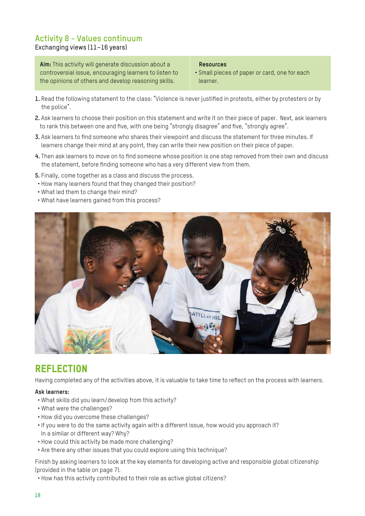#### **Activity 8 - Values continuum** Exchanging views (11–16 years)

**Aim:** This activity will generate discussion about a controversial issue, encouraging learners to listen to the opinions of others and develop reasoning skills.

 **Resources**

- Small pieces of paper or card, one for each learner.
- **1.** Read the following statement to the class: "Violence is never justified in protests, either by protesters or by the police".
- **2.** Ask learners to choose their position on this statement and write it on their piece of paper. Next, ask learners to rank this between one and five, with one being "strongly disagree" and five, "strongly agree".
- **3.** Ask learners to find someone who shares their viewpoint and discuss the statement for three minutes. If learners change their mind at any point, they can write their new position on their piece of paper.
- **4.** Then ask learners to move on to find someone whose position is one step removed from their own and discuss the statement, before finding someone who has a very different view from them.
- **5.** Finally, come together as a class and discuss the process.
- How many learners found that they changed their position?
- What led them to change their mind?
- What have learners gained from this process?



# **REFLECTION**

Having completed any of the activities above, it is valuable to take time to reflect on the process with learners.

#### **Ask learners:**

- What skills did you learn/develop from this activity?
- What were the challenges?
- How did you overcome these challenges?
- If you were to do the same activity again with a different issue, how would you approach it? In a similar or different way? Why?
- How could this activity be made more challenging?
- Are there any other issues that you could explore using this technique?

Finish by asking learners to look at the key elements for developing active and responsible global citizenship (provided in the table on page 7).

• How has this activity contributed to their role as active global citizens?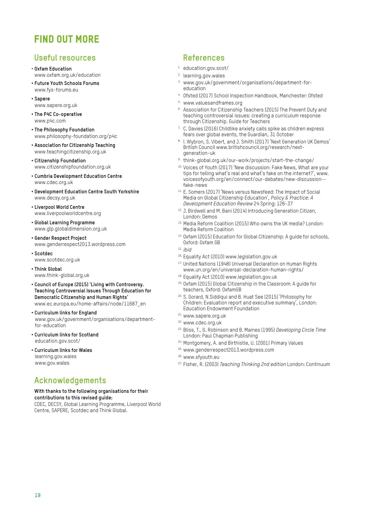# FIND OUT MORE

## **Useful resources**

- **Oxfam Education** www.oxfam.org.uk/education
- **Future Youth Schools Forums** www.fys-forums.eu
- **Sapere** www.sapere.org.uk
- **The P4C Co-operative** www.p4c.com
- **The Philosophy Foundation** www.philosophy-foundation.org/p4c
- **Association for Citizenship Teaching** www.teachingcitizenship.org.uk
- **Citizenship Foundation** www.citizenshipfoundation.org.uk
- **Cumbria Development Education Centre** www.cdec.org.uk
- **Development Education Centre South Yorkshire** www.decsy.org.uk
- **Liverpool World Centre** www.liverpoolworldcentre.org
- **Global Learning Programme** www.glp.globaldimension.org.uk
- **Gender Respect Project** www.genderrespect2013.wordpress.com
- **Scotdec**

www.scotdec.org.uk

- **Think Global** www.think-global.org.uk
- **Council of Europe (2015) 'Living with Controversy. Teaching Controversial Issues Through Education for Democratic Citizenship and Human Rights'** www.ec.europa.eu/home-affairs/node/11687\_en
- **Curriculum links for England** www.gov.uk/government/organisations/departmentfor-education
- **Curriculum links for Scotland** education.gov.scot/
- **Curriculum links for Wales** learning.gov.wales www.gov.wales

# **Acknowledgements**

#### **With thanks to the following organisations for their contributions to this revised guide:**

CDEC, DECSY, Global Learning Programme, Liverpool World Centre, SAPERE, Scotdec and Think Global.

# **References**

- 1. education.gov.scot/
- 2. learning.gov.wales
- 3. www.gov.uk/government/organisations/department-foreducation
- 4. Ofsted (2017) School Inspection Handbook, Manchester: Ofsted
- 5. www.valuesandframes.org
- <sup>6.</sup> Association for Citizenship Teachers (2015) The Prevent Duty and teaching controversial issues: creating a curriculum response through Citizenship. Guide for Teachers
- <sup>7.</sup> C. Davies (2016) Childlike anxiety calls spike as children express fears over global events, the Guardian, 31 October
- 8. I. Wybron, S. Vibert, and J. Smith (2017) 'Next Generation UK Demos' British Council www.britishcouncil.org/research/nextgeneration-uk
- 9. think-global.org.uk/our-work/projects/start-the-change/
- 10. Voices of Youth (2017) 'New discussion: Fake News, What are your tips for telling what's real and what's fake on the internet?', www. voicesofyouth.org/en/connect/our-debates/new-discussion- fake-news
- 11. E. Somers (2017) 'News versus Newsfeed: The Impact of Social Media on Global Citizenship Education', *Policy & Practice: A Development Education Review* 24 Spring: 126-37
- <sup>12.</sup> J. Birdwell and M. Bani (2014) Introducing Generation Citizen, London: Demos
- 13. Media Reform Coalition (2015) Who owns the UK media? London: Media Reform Coalition
- 14. Oxfam (2015) Education for Global Citizenship: A guide for schools, Oxford: Oxfam GB
- 15. *ibid*
- 16. Equality Act (2010) www.legislation.gov.uk
- <sup>17.</sup> United Nations (1948) Universal Declaration on Human Rights www.un.org/en/universal-declaration-human-rights/
- 18. Equality Act (2010) www.legislation.gov.uk
- 19. Oxfam (2015) Global Citizenship in the Classroom: A guide for teachers, Oxford: OxfamGB
- 20. S. Gorard, N.Siddiqui and B. Huat See (2015) 'Philosophy for Children: Evaluation report and executive summary', London: Education Endowment Foundation
- 21. www.sapere.org.uk
- 22. www.cdec.org.uk
- 23. Bliss, T., G. Robinson and B. Maines (1995) *Developing Circle Time* London: Paul Chapman Publishing
- 24. Montgomery, A. and Birthistle, U. (2001) Primary Values
- 25. www.genderrespect2013.wordpress.com
- 26. www.sfyouth.eu
- 27. Fisher, R. (2003) *Teaching Thinking 2nd edition* London: Continuum